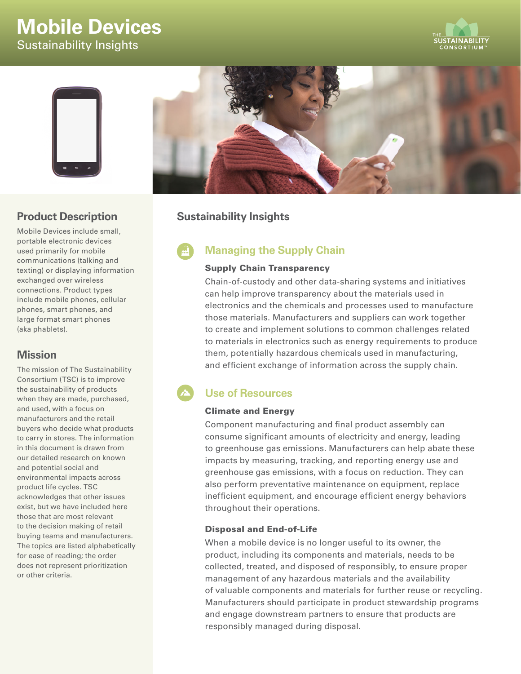# **Mobile Devices** Sustainability Insights





## **Product Description**

Mobile Devices include small, portable electronic devices used primarily for mobile communications (talking and texting) or displaying information exchanged over wireless connections. Product types include mobile phones, cellular phones, smart phones, and large format smart phones (aka phablets).

## **Mission**

The mission of The Sustainability Consortium (TSC) is to improve the sustainability of products when they are made, purchased, and used, with a focus on manufacturers and the retail buyers who decide what products to carry in stores. The information in this document is drawn from our detailed research on known and potential social and environmental impacts across product life cycles. TSC acknowledges that other issues exist, but we have included here those that are most relevant to the decision making of retail buying teams and manufacturers. The topics are listed alphabetically for ease of reading; the order does not represent prioritization or other criteria.



## **Sustainability Insights**

## **Managing the Supply Chain**

#### Supply Chain Transparency

Chain-of-custody and other data-sharing systems and initiatives can help improve transparency about the materials used in electronics and the chemicals and processes used to manufacture those materials. Manufacturers and suppliers can work together to create and implement solutions to common challenges related to materials in electronics such as energy requirements to produce them, potentially hazardous chemicals used in manufacturing, and efficient exchange of information across the supply chain.

## **Use of Resources**

#### Climate and Energy

Component manufacturing and final product assembly can consume significant amounts of electricity and energy, leading to greenhouse gas emissions. Manufacturers can help abate these impacts by measuring, tracking, and reporting energy use and greenhouse gas emissions, with a focus on reduction. They can also perform preventative maintenance on equipment, replace inefficient equipment, and encourage efficient energy behaviors throughout their operations.

#### Disposal and End-of-Life

When a mobile device is no longer useful to its owner, the product, including its components and materials, needs to be collected, treated, and disposed of responsibly, to ensure proper management of any hazardous materials and the availability of valuable components and materials for further reuse or recycling. Manufacturers should participate in product stewardship programs and engage downstream partners to ensure that products are responsibly managed during disposal.